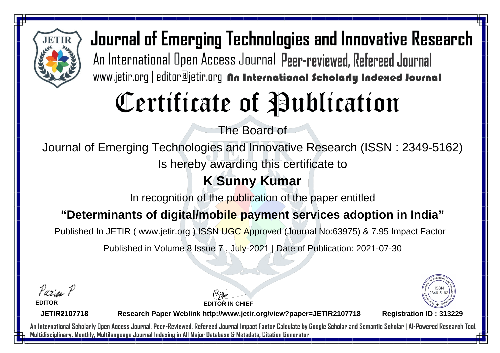

Journal of Emerging Technologies and Innovative Research An International Open Access Journal Peer-reviewed, Refereed Journal www.jetir.org | editor@jetir.org An International Scholarly Indexed Journal

## Certificate of Publication

The Board of

Journal of Emerging Technologies and Innovative Research (ISSN : 2349-5162)

Is hereby awarding this certificate to

## **K Sunny Kumar**

In recognition of the publication of the paper entitled

**"Determinants of digital/mobile payment services adoption in India"**

Published In JETIR ( www.jetir.org ) ISSN UGC Approved (Journal No: 63975) & 7.95 Impact Factor

Published in Volume 8 Issue 7 , July-2021 | Date of Publication: 2021-07-30

Parin P

**EDITOR**

**EDITOR IN CHIEF**



**JETIR2107718**

**Research Paper Weblink http://www.jetir.org/view?paper=JETIR2107718 Registration ID : 313229**

An International Scholarly Open Access Journal, Peer-Reviewed, Refereed Journal Impact Factor Calculate by Google Scholar and Semantic Scholar | Al-Powered Research Tool, Multidisciplinary, Monthly, Multilanguage Journal Indexing in All Major Database & Metadata, Citation Generator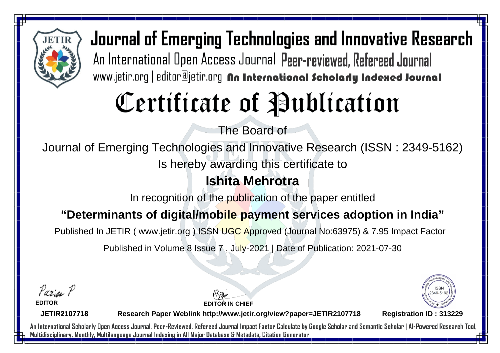

Journal of Emerging Technologies and Innovative Research An International Open Access Journal Peer-reviewed, Refereed Journal www.jetir.org | editor@jetir.org An International Scholarly Indexed Journal

# Certificate of Publication

The Board of

Journal of Emerging Technologies and Innovative Research (ISSN : 2349-5162)

Is hereby awarding this certificate to

## **Ishita Mehrotra**

In recognition of the publication of the paper entitled

#### **"Determinants of digital/mobile payment services adoption in India"**

Published In JETIR ( www.jetir.org ) ISSN UGC Approved (Journal No: 63975) & 7.95 Impact Factor

Published in Volume 8 Issue 7 , July-2021 | Date of Publication: 2021-07-30

Parin P

**EDITOR**

**EDITOR IN CHIEF**



**JETIR2107718**

**Research Paper Weblink http://www.jetir.org/view?paper=JETIR2107718 Registration ID : 313229**

An International Scholarly Open Access Journal, Peer-Reviewed, Refereed Journal Impact Factor Calculate by Google Scholar and Semantic Scholar | Al-Powered Research Tool, Multidisciplinary, Monthly, Multilanguage Journal Indexing in All Major Database & Metadata, Citation Generator